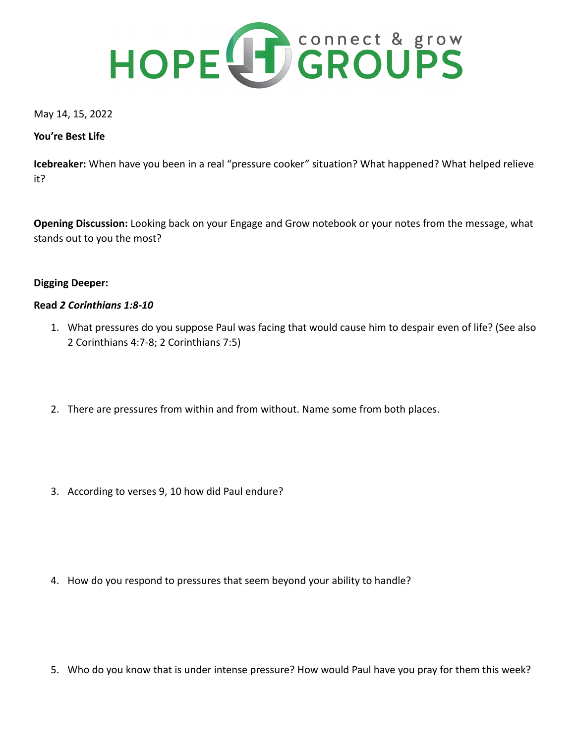

May 14, 15, 2022

## **You're Best Life**

**Icebreaker:** When have you been in a real "pressure cooker" situation? What happened? What helped relieve it?

**Opening Discussion:** Looking back on your Engage and Grow notebook or your notes from the message, what stands out to you the most?

## **Digging Deeper:**

## **Read** *2 Corinthians 1:8-10*

- 1. What pressures do you suppose Paul was facing that would cause him to despair even of life? (See also 2 Corinthians 4:7-8; 2 Corinthians 7:5)
- 2. There are pressures from within and from without. Name some from both places.
- 3. According to verses 9, 10 how did Paul endure?

4. How do you respond to pressures that seem beyond your ability to handle?

5. Who do you know that is under intense pressure? How would Paul have you pray for them this week?